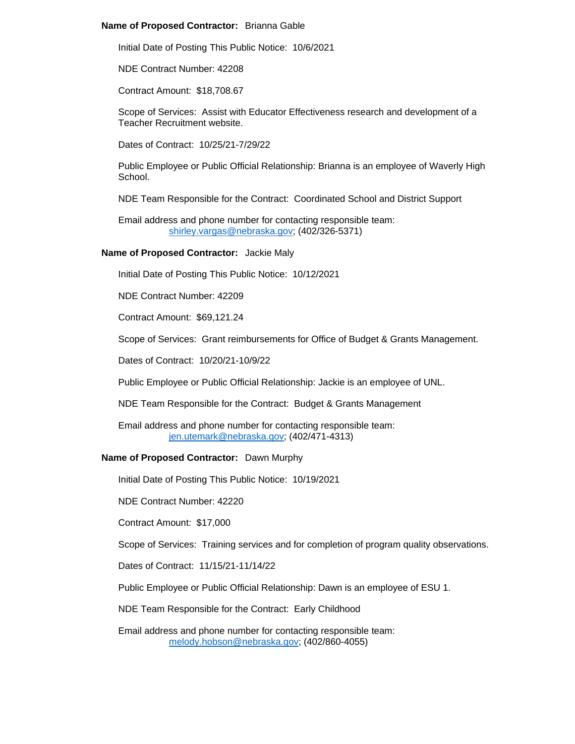## **Name of Proposed Contractor:** Brianna Gable

Initial Date of Posting This Public Notice: 10/6/2021

NDE Contract Number: 42208

Contract Amount: \$18,708.67

Scope of Services: Assist with Educator Effectiveness research and development of a Teacher Recruitment website.

Dates of Contract: 10/25/21-7/29/22

Public Employee or Public Official Relationship: Brianna is an employee of Waverly High School.

NDE Team Responsible for the Contract: Coordinated School and District Support

Email address and phone number for contacting responsible team: [shirley.vargas@nebraska.gov;](mailto:shirley.vargas@nebraska.gov) (402/326-5371)

### **Name of Proposed Contractor:** Jackie Maly

Initial Date of Posting This Public Notice: 10/12/2021

NDE Contract Number: 42209

Contract Amount: \$69,121.24

Scope of Services: Grant reimbursements for Office of Budget & Grants Management.

Dates of Contract: 10/20/21-10/9/22

Public Employee or Public Official Relationship: Jackie is an employee of UNL.

NDE Team Responsible for the Contract: Budget & Grants Management

Email address and phone number for contacting responsible team: [jen.utemark@nebraska.gov;](mailto:jen.utemark@nebraska.gov) (402/471-4313)

#### **Name of Proposed Contractor:** Dawn Murphy

Initial Date of Posting This Public Notice: 10/19/2021

NDE Contract Number: 42220

Contract Amount: \$17,000

Scope of Services: Training services and for completion of program quality observations.

Dates of Contract: 11/15/21-11/14/22

Public Employee or Public Official Relationship: Dawn is an employee of ESU 1.

NDE Team Responsible for the Contract: Early Childhood

Email address and phone number for contacting responsible team: [melody.hobson@nebraska.gov;](mailto:melody.hobson@nebraska.gov) (402/860-4055)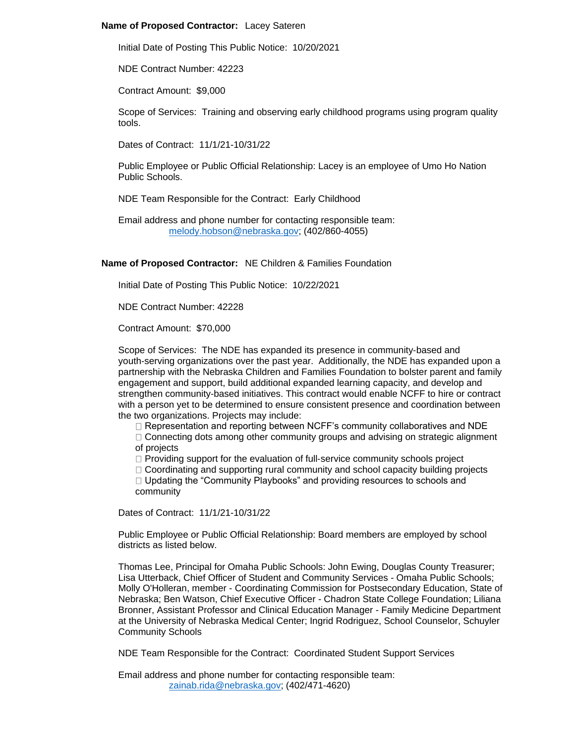## **Name of Proposed Contractor:** Lacey Sateren

Initial Date of Posting This Public Notice: 10/20/2021

NDE Contract Number: 42223

Contract Amount: \$9,000

Scope of Services: Training and observing early childhood programs using program quality tools.

Dates of Contract: 11/1/21-10/31/22

Public Employee or Public Official Relationship: Lacey is an employee of Umo Ho Nation Public Schools.

NDE Team Responsible for the Contract: Early Childhood

Email address and phone number for contacting responsible team: [melody.hobson@nebraska.gov;](mailto:melody.hobson@nebraska.gov) (402/860-4055)

**Name of Proposed Contractor:** NE Children & Families Foundation

Initial Date of Posting This Public Notice: 10/22/2021

NDE Contract Number: 42228

Contract Amount: \$70,000

Scope of Services: The NDE has expanded its presence in community‐based and youth‐serving organizations over the past year. Additionally, the NDE has expanded upon a partnership with the Nebraska Children and Families Foundation to bolster parent and family engagement and support, build additional expanded learning capacity, and develop and strengthen community‐based initiatives. This contract would enable NCFF to hire or contract with a person yet to be determined to ensure consistent presence and coordination between the two organizations. Projects may include:

Representation and reporting between NCFF's community collaboratives and NDE

 $\Box$  Connecting dots among other community groups and advising on strategic alignment of projects

□ Providing support for the evaluation of full-service community schools project

 $\Box$  Coordinating and supporting rural community and school capacity building projects  $\Box$  Updating the "Community Playbooks" and providing resources to schools and community

Dates of Contract: 11/1/21-10/31/22

Public Employee or Public Official Relationship: Board members are employed by school districts as listed below.

Thomas Lee, Principal for Omaha Public Schools: John Ewing, Douglas County Treasurer; Lisa Utterback, Chief Officer of Student and Community Services - Omaha Public Schools; Molly O'Holleran, member - Coordinating Commission for Postsecondary Education, State of Nebraska; Ben Watson, Chief Executive Officer - Chadron State College Foundation; Liliana Bronner, Assistant Professor and Clinical Education Manager - Family Medicine Department at the University of Nebraska Medical Center; Ingrid Rodriguez, School Counselor, Schuyler Community Schools

NDE Team Responsible for the Contract: Coordinated Student Support Services

Email address and phone number for contacting responsible team: [zainab.rida@nebraska.gov;](mailto:zainab.rida@nebraska.gov) (402/471-4620)